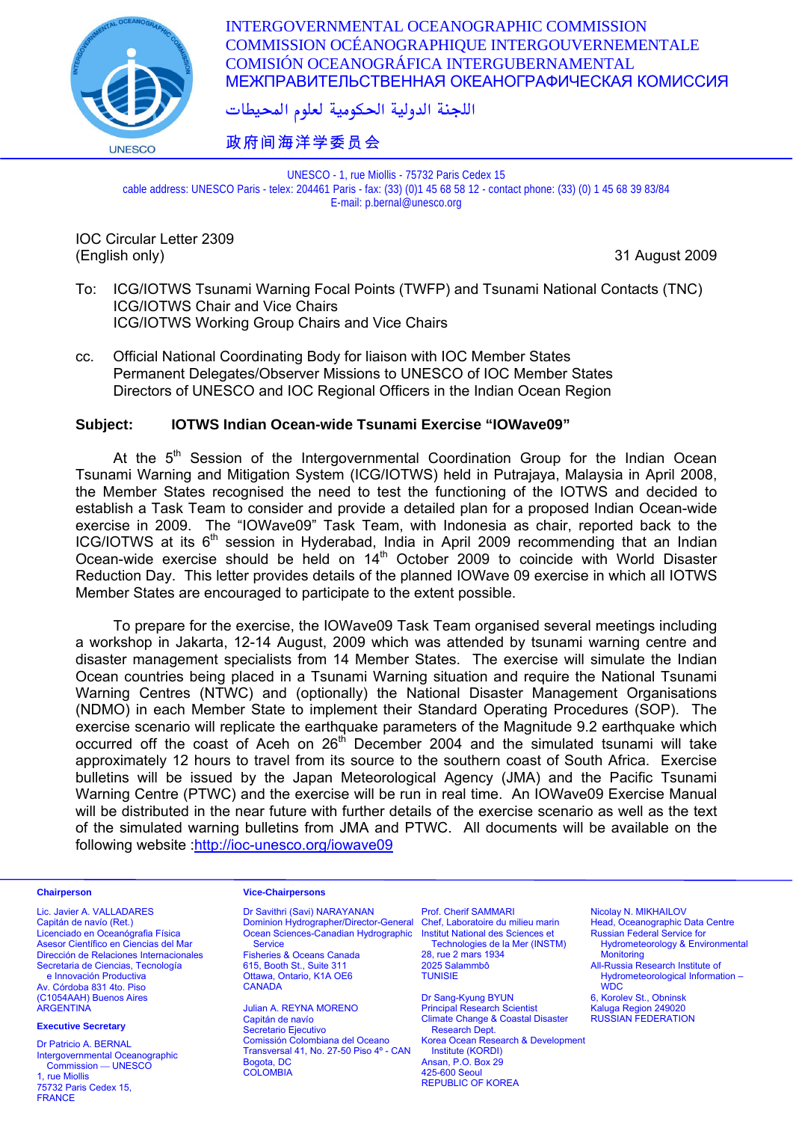

INTERGOVERNMENTAL OCEANOGRAPHIC COMMISSION COMMISSION OCÉANOGRAPHIQUE INTERGOUVERNEMENTALE COMISIÓN OCEANOGRÁFICA INTERGUBERNAMENTAL МЕЖПРАВИТЕЛЬСТВЕННАЯ ОКЕАНОГРАФИЧЕСКАЯ КОМИССИЯ

اللجنة الدولية الحكومية لعلوم المحيطات

# 政府间海洋学委员会

UNESCO - 1, rue Miollis - 75732 Paris Cedex 15 cable address: UNESCO Paris - telex: 204461 Paris - fax: (33) (0)1 45 68 58 12 - contact phone: (33) (0) 1 45 68 39 83/84 E-mail: p.bernal@unesco.org

IOC Circular Letter 2309 (English only) 31 August 2009

- To: ICG/IOTWS Tsunami Warning Focal Points (TWFP) and Tsunami National Contacts (TNC) ICG/IOTWS Chair and Vice Chairs ICG/IOTWS Working Group Chairs and Vice Chairs
- cc. Official National Coordinating Body for liaison with IOC Member States Permanent Delegates/Observer Missions to UNESCO of IOC Member States Directors of UNESCO and IOC Regional Officers in the Indian Ocean Region

### **Subject: IOTWS Indian Ocean-wide Tsunami Exercise "IOWave09"**

At the  $5<sup>th</sup>$  Session of the Intergovernmental Coordination Group for the Indian Ocean Tsunami Warning and Mitigation System (ICG/IOTWS) held in Putrajaya, Malaysia in April 2008, the Member States recognised the need to test the functioning of the IOTWS and decided to establish a Task Team to consider and provide a detailed plan for a proposed Indian Ocean-wide exercise in 2009. The "IOWave09" Task Team, with Indonesia as chair, reported back to the ICG/IOTWS at its 6<sup>th</sup> session in Hyderabad, India in April 2009 recommending that an Indian Ocean-wide exercise should be held on  $14<sup>th</sup>$  October 2009 to coincide with World Disaster Reduction Day. This letter provides details of the planned IOWave 09 exercise in which all IOTWS Member States are encouraged to participate to the extent possible.

 To prepare for the exercise, the IOWave09 Task Team organised several meetings including a workshop in Jakarta, 12-14 August, 2009 which was attended by tsunami warning centre and disaster management specialists from 14 Member States. The exercise will simulate the Indian Ocean countries being placed in a Tsunami Warning situation and require the National Tsunami Warning Centres (NTWC) and (optionally) the National Disaster Management Organisations (NDMO) in each Member State to implement their Standard Operating Procedures (SOP). The exercise scenario will replicate the earthquake parameters of the Magnitude 9.2 earthquake which occurred off the coast of Aceh on  $26<sup>th</sup>$  December 2004 and the simulated tsunami will take approximately 12 hours to travel from its source to the southern coast of South Africa. Exercise bulletins will be issued by the Japan Meteorological Agency (JMA) and the Pacific Tsunami Warning Centre (PTWC) and the exercise will be run in real time. An IOWave09 Exercise Manual will be distributed in the near future with further details of the exercise scenario as well as the text of the simulated warning bulletins from JMA and PTWC. All documents will be available on the following website [:http://ioc-unesco.org/iowave09](http://ioc-unesco.org/iowave09)

Lic. Javier A. VALLADARES Capitán de navío (Ret.) Licenciado en Oceanógrafia Física Asesor Científico en Ciencias del Mar Dirección de Relaciones Internacionales Secretaria de Ciencias, Tecnología e Innovación Productiva Av. Córdoba 831 4to. Piso (C1054AAH) Buenos Aires **ARGENTINA** 

### **Executive Secretary**

Dr Patricio A. BERNAL Intergovernmental Oceanographic Commission — UNESCO 1, rue Miollis 75732 Paris Cedex 15, FRANCE

#### **Chairperson Vice-Chairpersons**

Dr Savithri (Savi) NARAYANAN Dominion Hydrographer/Director-General Ocean Sciences-Canadian Hydrographic **Service** Fisheries & Oceans Canada 615, Booth St., Suite 311 Ottawa, Ontario, K1A OE6 **CANADA** 

Julian A. REYNA MORENO Capitán de navío Secretario Ejecutivo Comissión Colombiana del Oceano Transversal 41, No. 27-50 Piso 4º - CAN Bogota, DC **COLOMBIA** 

Prof. Cherif SAMMARI Chef, Laboratoire du milieu marin Institut National des Sciences et Technologies de la Mer (INSTM) 28, rue 2 mars 1934 2025 Salammbô **TUNISIE** 

Dr Sang-Kyung BYUN Principal Research Scientist Climate Change & Coastal Disaster Research Dept. Korea Ocean Research & Development Institute (KORDI) Ansan, P.O. Box 29 425-600 Seoul REPUBLIC OF KOREA

Nicolay N. MIKHAILOV Head, Oceanographic Data Centre Russian Federal Service for

Hydrometeorology & Environmental Monitoring All-Russia Research Institute of

Hydrometeorological Information – **WDC** 6, Korolev St., Obninsk

Kaluga Region 249020 RUSSIAN FEDERATION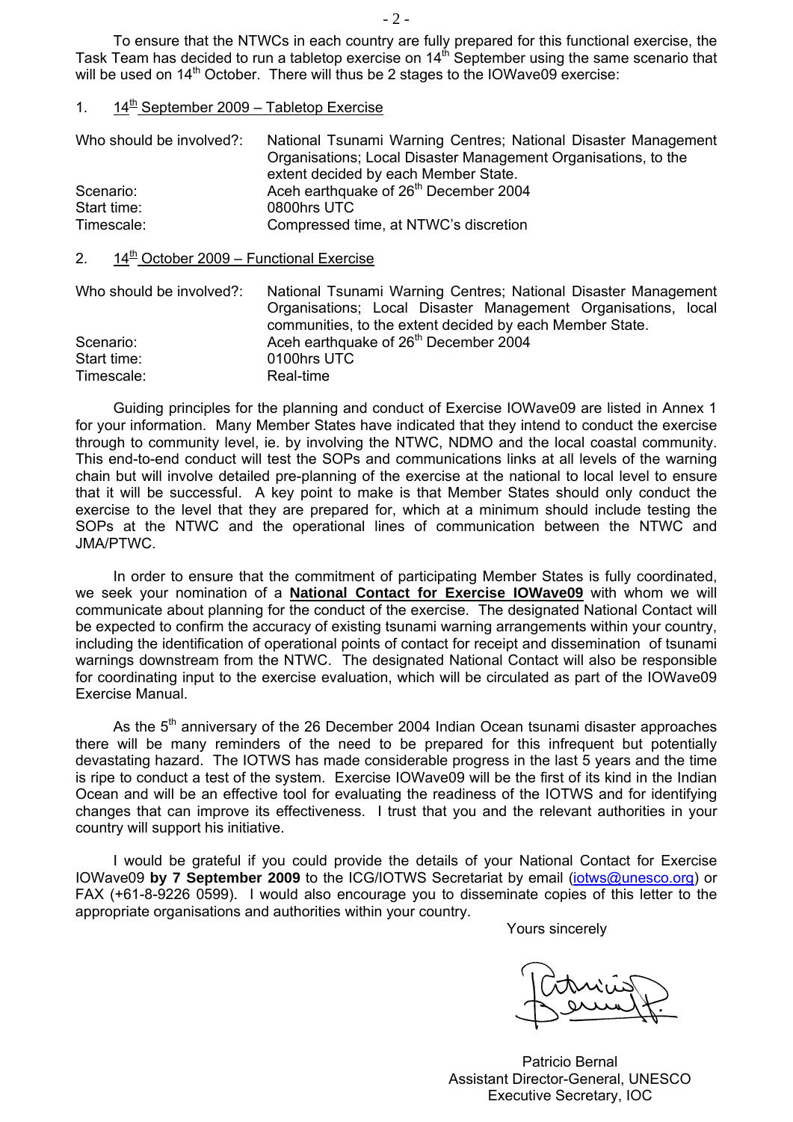To ensure that the NTWCs in each country are fully prepared for this functional exercise, the Task Team has decided to run a tabletop exercise on  $14<sup>th</sup>$  September using the same scenario that will be used on 14<sup>th</sup> October. There will thus be 2 stages to the IOWave09 exercise:

### 1.  $14^{\text{th}}$  September 2009 – Tabletop Exercise

| Who should be involved?: | National Tsunami Warning Centres; National Disaster Management |
|--------------------------|----------------------------------------------------------------|
|                          | Organisations; Local Disaster Management Organisations, to the |
|                          | extent decided by each Member State.                           |
| Scenario:                | Aceh earthquake of 26 <sup>th</sup> December 2004              |
| Start time:              | 0800hrs UTC                                                    |
| Timescale:               | Compressed time, at NTWC's discretion                          |

# 2.  $14^{\frac{th}{2}}$  October 2009 – Functional Exercise

| Who should be involved?: | National Tsunami Warning Centres; National Disaster Management |
|--------------------------|----------------------------------------------------------------|
|                          | Organisations; Local Disaster Management Organisations, local  |
|                          | communities, to the extent decided by each Member State.       |
| Scenario:                | Aceh earthquake of 26 <sup>th</sup> December 2004              |
| Start time:              | 0100hrs UTC                                                    |
| Timescale:               | Real-time                                                      |

 Guiding principles for the planning and conduct of Exercise IOWave09 are listed in Annex 1 for your information. Many Member States have indicated that they intend to conduct the exercise through to community level, ie. by involving the NTWC, NDMO and the local coastal community. This end-to-end conduct will test the SOPs and communications links at all levels of the warning chain but will involve detailed pre-planning of the exercise at the national to local level to ensure that it will be successful. A key point to make is that Member States should only conduct the exercise to the level that they are prepared for, which at a minimum should include testing the SOPs at the NTWC and the operational lines of communication between the NTWC and JMA/PTWC.

 In order to ensure that the commitment of participating Member States is fully coordinated, we seek your nomination of a **National Contact for Exercise IOWave09** with whom we will communicate about planning for the conduct of the exercise. The designated National Contact will be expected to confirm the accuracy of existing tsunami warning arrangements within your country, including the identification of operational points of contact for receipt and dissemination of tsunami warnings downstream from the NTWC. The designated National Contact will also be responsible for coordinating input to the exercise evaluation, which will be circulated as part of the IOWave09 Exercise Manual.

As the 5<sup>th</sup> anniversary of the 26 December 2004 Indian Ocean tsunami disaster approaches there will be many reminders of the need to be prepared for this infrequent but potentially devastating hazard. The IOTWS has made considerable progress in the last 5 years and the time is ripe to conduct a test of the system. Exercise IOWave09 will be the first of its kind in the Indian Ocean and will be an effective tool for evaluating the readiness of the IOTWS and for identifying changes that can improve its effectiveness. I trust that you and the relevant authorities in your country will support his initiative.

 I would be grateful if you could provide the details of your National Contact for Exercise IOWave09 **by 7 September 2009** to the ICG/IOTWS Secretariat by email ([iotws@unesco.org](mailto:iotws@unesco.org)) or FAX (+61-8-9226 0599). I would also encourage you to disseminate copies of this letter to the appropriate organisations and authorities within your country.

Yours sincerely

Patricio Bernal Assistant Director-General, UNESCO Executive Secretary, IOC